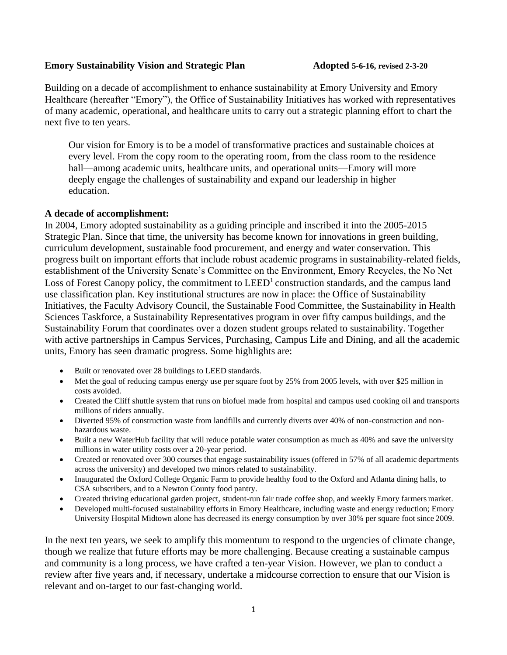#### **Emory Sustainability Vision and Strategic Plan Adopted 5-6-16, revised 2-3-20**

Building on a decade of accomplishment to enhance sustainability at Emory University and Emory Healthcare (hereafter "Emory"), the Office of Sustainability Initiatives has worked with representatives of many academic, operational, and healthcare units to carry out a strategic planning effort to chart the next five to ten years.

Our vision for Emory is to be a model of transformative practices and sustainable choices at every level. From the copy room to the operating room, from the class room to the residence hall—among academic units, healthcare units, and operational units—Emory will more deeply engage the challenges of sustainability and expand our leadership in higher education.

#### **A decade of accomplishment:**

In 2004, Emory adopted sustainability as a guiding principle and inscribed it into the 2005-2015 Strategic Plan. Since that time, the university has become known for innovations in green building, curriculum development, sustainable food procurement, and energy and water conservation. This progress built on important efforts that include robust academic programs in sustainability-related fields, establishment of the University Senate's Committee on the Environment, Emory Recycles, the No Net Loss of Forest Canopy policy, the commitment to  $LEED<sup>1</sup>$  construction standards, and the campus land use classification plan. Key institutional structures are now in place: the Office of Sustainability Initiatives, the Faculty Advisory Council, the Sustainable Food Committee, the Sustainability in Health Sciences Taskforce, a Sustainability Representatives program in over fifty campus buildings, and the Sustainability Forum that coordinates over a dozen student groups related to sustainability. Together with active partnerships in Campus Services, Purchasing, Campus Life and Dining, and all the academic units, Emory has seen dramatic progress. Some highlights are:

- Built or renovated over 28 buildings to LEED standards.
- Met the goal of reducing campus energy use per square foot by 25% from 2005 levels, with over \$25 million in costs avoided.
- Created the Cliff shuttle system that runs on biofuel made from hospital and campus used cooking oil and transports millions of riders annually.
- Diverted 95% of construction waste from landfills and currently diverts over 40% of non-construction and nonhazardous waste.
- Built a new WaterHub facility that will reduce potable water consumption as much as 40% and save the university millions in water utility costs over a 20-year period.
- Created or renovated over 300 courses that engage sustainability issues (offered in 57% of all academic departments across the university) and developed two minors related to sustainability.
- Inaugurated the Oxford College Organic Farm to provide healthy food to the Oxford and Atlanta dining halls, to CSA subscribers, and to a Newton County food pantry.
- Created thriving educational garden project, student-run fair trade coffee shop, and weekly Emory farmers market.
- Developed multi-focused sustainability efforts in Emory Healthcare, including waste and energy reduction; Emory University Hospital Midtown alone has decreased its energy consumption by over 30% per square foot since 2009.

In the next ten years, we seek to amplify this momentum to respond to the urgencies of climate change, though we realize that future efforts may be more challenging. Because creating a sustainable campus and community is a long process, we have crafted a ten-year Vision. However, we plan to conduct a review after five years and, if necessary, undertake a midcourse correction to ensure that our Vision is relevant and on-target to our fast-changing world.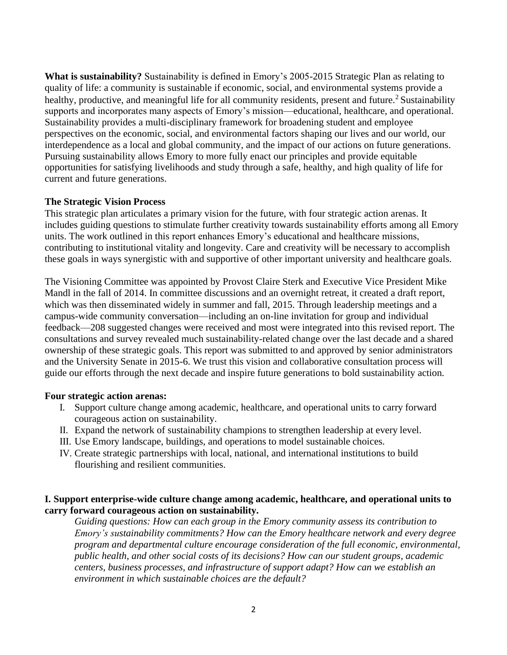**What is sustainability?** Sustainability is defined in Emory's 2005-2015 Strategic Plan as relating to quality of life: a community is sustainable if economic, social, and environmental systems provide a healthy, productive, and meaningful life for all community residents, present and future.<sup>2</sup> Sustainability supports and incorporates many aspects of Emory's mission—educational, healthcare, and operational. Sustainability provides a multi-disciplinary framework for broadening student and employee perspectives on the economic, social, and environmental factors shaping our lives and our world, our interdependence as a local and global community, and the impact of our actions on future generations. Pursuing sustainability allows Emory to more fully enact our principles and provide equitable opportunities for satisfying livelihoods and study through a safe, healthy, and high quality of life for current and future generations.

## **The Strategic Vision Process**

This strategic plan articulates a primary vision for the future, with four strategic action arenas. It includes guiding questions to stimulate further creativity towards sustainability efforts among all Emory units. The work outlined in this report enhances Emory's educational and healthcare missions, contributing to institutional vitality and longevity. Care and creativity will be necessary to accomplish these goals in ways synergistic with and supportive of other important university and healthcare goals.

The Visioning Committee was appointed by Provost Claire Sterk and Executive Vice President Mike Mandl in the fall of 2014. In committee discussions and an overnight retreat, it created a draft report, which was then disseminated widely in summer and fall, 2015. Through leadership meetings and a campus-wide community conversation—including an on-line invitation for group and individual feedback—208 suggested changes were received and most were integrated into this revised report. The consultations and survey revealed much sustainability-related change over the last decade and a shared ownership of these strategic goals. This report was submitted to and approved by senior administrators and the University Senate in 2015-6. We trust this vision and collaborative consultation process will guide our efforts through the next decade and inspire future generations to bold sustainability action.

### **Four strategic action arenas:**

- I. Support culture change among academic, healthcare, and operational units to carry forward courageous action on sustainability.
- II. Expand the network of sustainability champions to strengthen leadership at every level.
- III. Use Emory landscape, buildings, and operations to model sustainable choices.
- IV. Create strategic partnerships with local, national, and international institutions to build flourishing and resilient communities.

## **I. Support enterprise-wide culture change among academic, healthcare, and operational units to carry forward courageous action on sustainability.**

*Guiding questions: How can each group in the Emory community assess its contribution to Emory's sustainability commitments? How can the Emory healthcare network and every degree program and departmental culture encourage consideration of the full economic, environmental, public health, and other social costs of its decisions? How can our student groups, academic centers, business processes, and infrastructure of support adapt? How can we establish an environment in which sustainable choices are the default?*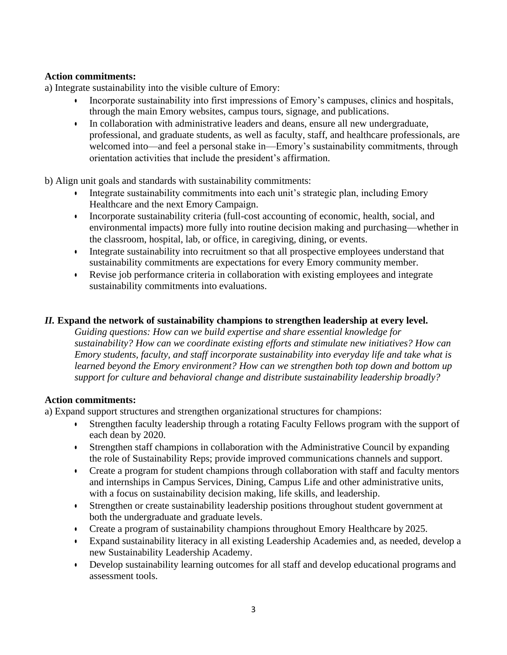# **Action commitments:**

a) Integrate sustainability into the visible culture of Emory:

- Incorporate sustainability into first impressions of Emory's campuses, clinics and hospitals, through the main Emory websites, campus tours, signage, and publications.
- In collaboration with administrative leaders and deans, ensure all new undergraduate, professional, and graduate students, as well as faculty, staff, and healthcare professionals, are welcomed into—and feel a personal stake in—Emory's sustainability commitments, through orientation activities that include the president's affirmation.

b) Align unit goals and standards with sustainability commitments:

- Integrate sustainability commitments into each unit's strategic plan, including Emory Healthcare and the next Emory Campaign.
- Incorporate sustainability criteria (full-cost accounting of economic, health, social, and environmental impacts) more fully into routine decision making and purchasing—whether in the classroom, hospital, lab, or office, in caregiving, dining, or events.
- Integrate sustainability into recruitment so that all prospective employees understand that sustainability commitments are expectations for every Emory community member.
- Revise job performance criteria in collaboration with existing employees and integrate sustainability commitments into evaluations.

# *II.* **Expand the network of sustainability champions to strengthen leadership at every level.**

*Guiding questions: How can we build expertise and share essential knowledge for sustainability? How can we coordinate existing efforts and stimulate new initiatives? How can Emory students, faculty, and staff incorporate sustainability into everyday life and take what is learned beyond the Emory environment? How can we strengthen both top down and bottom up support for culture and behavioral change and distribute sustainability leadership broadly?*

### **Action commitments:**

a) Expand support structures and strengthen organizational structures for champions:

- Strengthen faculty leadership through a rotating Faculty Fellows program with the support of each dean by 2020.
- Strengthen staff champions in collaboration with the Administrative Council by expanding the role of Sustainability Reps; provide improved communications channels and support.
- Create a program for student champions through collaboration with staff and faculty mentors and internships in Campus Services, Dining, Campus Life and other administrative units, with a focus on sustainability decision making, life skills, and leadership.
- Strengthen or create sustainability leadership positions throughout student government at both the undergraduate and graduate levels.
- Create a program of sustainability champions throughout Emory Healthcare by 2025.
- Expand sustainability literacy in all existing Leadership Academies and, as needed, develop a new Sustainability Leadership Academy.
- Develop sustainability learning outcomes for all staff and develop educational programs and assessment tools.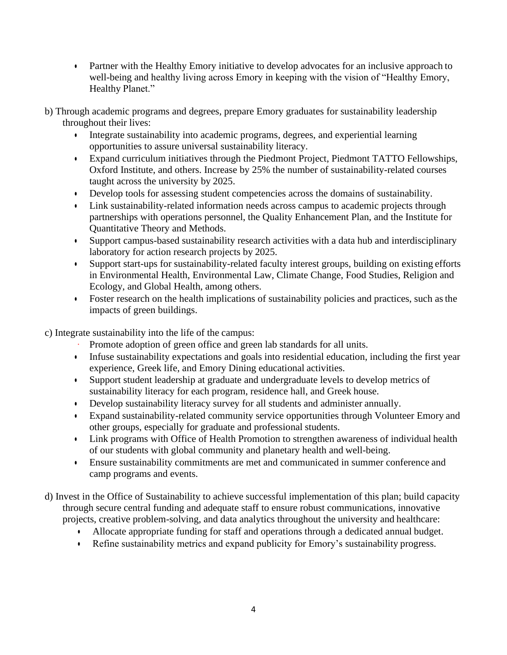- Partner with the Healthy Emory initiative to develop advocates for an inclusive approach to well-being and healthy living across Emory in keeping with the vision of "Healthy Emory, Healthy Planet."
- b) Through academic programs and degrees, prepare Emory graduates for sustainability leadership throughout their lives:
	- Integrate sustainability into academic programs, degrees, and experiential learning opportunities to assure universal sustainability literacy.
	- Expand curriculum initiatives through the Piedmont Project, Piedmont TATTO Fellowships, Oxford Institute, and others. Increase by 25% the number of sustainability-related courses taught across the university by 2025.
	- Develop tools for assessing student competencies across the domains of sustainability.
	- Link sustainability-related information needs across campus to academic projects through partnerships with operations personnel, the Quality Enhancement Plan, and the Institute for Quantitative Theory and Methods.
	- Support campus-based sustainability research activities with a data hub and interdisciplinary laboratory for action research projects by 2025.
	- Support start-ups for sustainability-related faculty interest groups, building on existing efforts in Environmental Health, Environmental Law, Climate Change, Food Studies, Religion and Ecology, and Global Health, among others.
	- Foster research on the health implications of sustainability policies and practices, such asthe impacts of green buildings.

c) Integrate sustainability into the life of the campus:

- Promote adoption of green office and green lab standards for all units.
- Infuse sustainability expectations and goals into residential education, including the first year experience, Greek life, and Emory Dining educational activities.
- Support student leadership at graduate and undergraduate levels to develop metrics of sustainability literacy for each program, residence hall, and Greek house.
- Develop sustainability literacy survey for all students and administer annually.
- Expand sustainability-related community service opportunities through Volunteer Emory and other groups, especially for graduate and professional students.
- Link programs with Office of Health Promotion to strengthen awareness of individual health of our students with global community and planetary health and well-being.
- Ensure sustainability commitments are met and communicated in summer conference and camp programs and events.
- d) Invest in the Office of Sustainability to achieve successful implementation of this plan; build capacity through secure central funding and adequate staff to ensure robust communications, innovative projects, creative problem-solving, and data analytics throughout the university and healthcare:
	- Allocate appropriate funding for staff and operations through a dedicated annual budget.
	- Refine sustainability metrics and expand publicity for Emory's sustainability progress.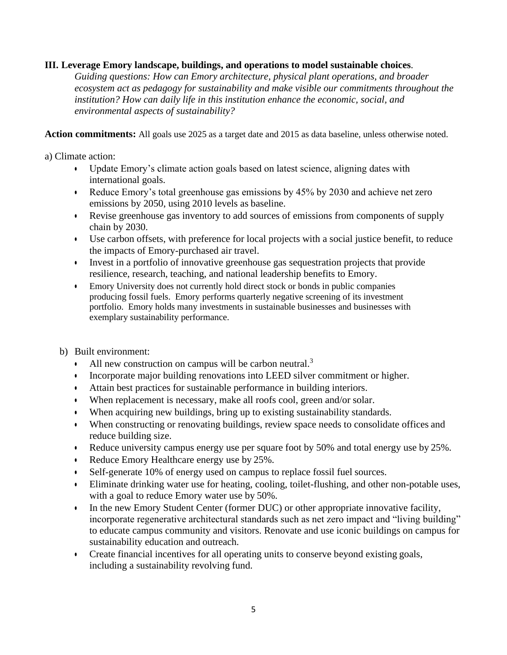## **III. Leverage Emory landscape, buildings, and operations to model sustainable choices**.

*Guiding questions: How can Emory architecture, physical plant operations, and broader ecosystem act as pedagogy for sustainability and make visible our commitments throughout the institution? How can daily life in this institution enhance the economic, social, and environmental aspects of sustainability?*

**Action commitments:** All goals use 2025 as a target date and 2015 as data baseline, unless otherwise noted.

a) Climate action:

- Update Emory's climate action goals based on latest science, aligning dates with international goals.
- Reduce Emory's total greenhouse gas emissions by 45% by 2030 and achieve net zero emissions by 2050, using 2010 levels as baseline.
- Revise greenhouse gas inventory to add sources of emissions from components of supply chain by 2030.
- Use carbon offsets, with preference for local projects with a social justice benefit, to reduce the impacts of Emory-purchased air travel.
- Invest in a portfolio of innovative greenhouse gas sequestration projects that provide resilience, research, teaching, and national leadership benefits to Emory.
- Emory University does not currently hold direct stock or bonds in public companies producing fossil fuels. Emory performs quarterly negative screening of its investment portfolio. Emory holds many investments in sustainable businesses and businesses with exemplary sustainability performance.
- b) Built environment:
	- All new construction on campus will be carbon neutral.<sup>3</sup>
	- Incorporate major building renovations into LEED silver commitment or higher.
	- Attain best practices for sustainable performance in building interiors.
	- When replacement is necessary, make all roofs cool, green and/or solar.
	- When acquiring new buildings, bring up to existing sustainability standards.
	- When constructing or renovating buildings, review space needs to consolidate offices and reduce building size.
	- Reduce university campus energy use per square foot by 50% and total energy use by 25%.
	- Reduce Emory Healthcare energy use by 25%.
	- Self-generate 10% of energy used on campus to replace fossil fuel sources.
	- Eliminate drinking water use for heating, cooling, toilet-flushing, and other non-potable uses, with a goal to reduce Emory water use by 50%.
	- In the new Emory Student Center (former DUC) or other appropriate innovative facility, incorporate regenerative architectural standards such as net zero impact and "living building" to educate campus community and visitors. Renovate and use iconic buildings on campus for sustainability education and outreach.
	- Create financial incentives for all operating units to conserve beyond existing goals, including a sustainability revolving fund.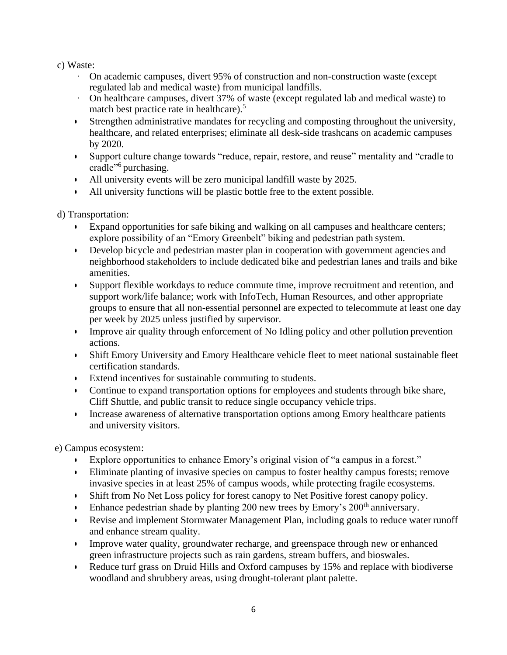# c) Waste:

- · On academic campuses, divert 95% of construction and non-construction waste (except regulated lab and medical waste) from municipal landfills.
- · On healthcare campuses, divert 37% of waste (except regulated lab and medical waste) to match best practice rate in healthcare).<sup>5</sup>
- Strengthen administrative mandates for recycling and composting throughout the university, healthcare, and related enterprises; eliminate all desk-side trashcans on academic campuses by 2020.
- Support culture change towards "reduce, repair, restore, and reuse" mentality and "cradle to cradle"<sup>6</sup> purchasing.
- All university events will be zero municipal landfill waste by 2025.
- All university functions will be plastic bottle free to the extent possible.

d) Transportation:

- Expand opportunities for safe biking and walking on all campuses and healthcare centers; explore possibility of an "Emory Greenbelt" biking and pedestrian path system.
- Develop bicycle and pedestrian master plan in cooperation with government agencies and neighborhood stakeholders to include dedicated bike and pedestrian lanes and trails and bike amenities.
- Support flexible workdays to reduce commute time, improve recruitment and retention, and support work/life balance; work with InfoTech, Human Resources, and other appropriate groups to ensure that all non-essential personnel are expected to telecommute at least one day per week by 2025 unless justified by supervisor.
- Improve air quality through enforcement of No Idling policy and other pollution prevention actions.
- Shift Emory University and Emory Healthcare vehicle fleet to meet national sustainable fleet certification standards.
- Extend incentives for sustainable commuting to students.
- Continue to expand transportation options for employees and students through bike share, Cliff Shuttle, and public transit to reduce single occupancy vehicle trips.
- Increase awareness of alternative transportation options among Emory healthcare patients and university visitors.

e) Campus ecosystem:

- Explore opportunities to enhance Emory's original vision of "a campus in a forest."
- Eliminate planting of invasive species on campus to foster healthy campus forests; remove invasive species in at least 25% of campus woods, while protecting fragile ecosystems.
- Shift from No Net Loss policy for forest canopy to Net Positive forest canopy policy.
- Enhance pedestrian shade by planting 200 new trees by Emory's  $200<sup>th</sup>$  anniversary.
- Revise and implement Stormwater Management Plan, including goals to reduce water runoff and enhance stream quality.
- Improve water quality, groundwater recharge, and greenspace through new or enhanced green infrastructure projects such as rain gardens, stream buffers, and bioswales.
- Reduce turf grass on Druid Hills and Oxford campuses by 15% and replace with biodiverse woodland and shrubbery areas, using drought-tolerant plant palette.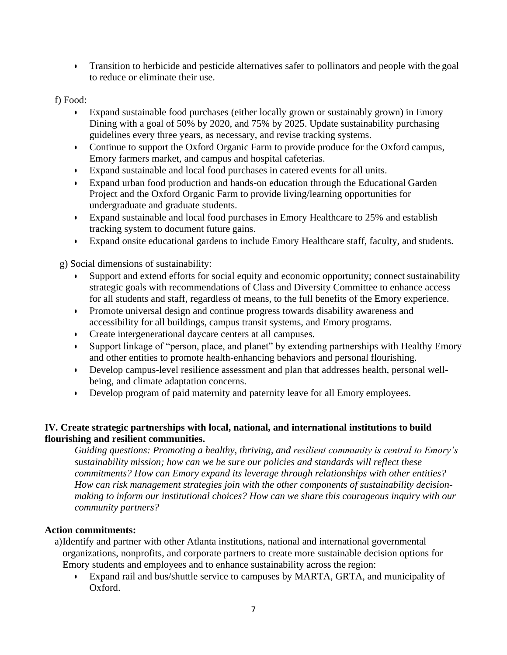• Transition to herbicide and pesticide alternatives safer to pollinators and people with the goal to reduce or eliminate their use.

f) Food:

- Expand sustainable food purchases (either locally grown or sustainably grown) in Emory Dining with a goal of 50% by 2020, and 75% by 2025. Update sustainability purchasing guidelines every three years, as necessary, and revise tracking systems.
- Continue to support the Oxford Organic Farm to provide produce for the Oxford campus, Emory farmers market, and campus and hospital cafeterias.
- Expand sustainable and local food purchases in catered events for all units.
- Expand urban food production and hands-on education through the Educational Garden Project and the Oxford Organic Farm to provide living/learning opportunities for undergraduate and graduate students.
- Expand sustainable and local food purchases in Emory Healthcare to 25% and establish tracking system to document future gains.
- Expand onsite educational gardens to include Emory Healthcare staff, faculty, and students.

g) Social dimensions of sustainability:

- Support and extend efforts for social equity and economic opportunity; connect sustainability strategic goals with recommendations of Class and Diversity Committee to enhance access for all students and staff, regardless of means, to the full benefits of the Emory experience.
- Promote universal design and continue progress towards disability awareness and accessibility for all buildings, campus transit systems, and Emory programs.
- Create intergenerational daycare centers at all campuses.
- Support linkage of "person, place, and planet" by extending partnerships with Healthy Emory and other entities to promote health-enhancing behaviors and personal flourishing.
- Develop campus-level resilience assessment and plan that addresses health, personal wellbeing, and climate adaptation concerns.
- Develop program of paid maternity and paternity leave for all Emory employees.

# **IV. Create strategic partnerships with local, national, and international institutions to build flourishing and resilient communities.**

*Guiding questions: Promoting a healthy, thriving, and resilient community is central to Emory's sustainability mission; how can we be sure our policies and standards will reflect these commitments? How can Emory expand its leverage through relationships with other entities? How can risk management strategies join with the other components of sustainability decisionmaking to inform our institutional choices? How can we share this courageous inquiry with our community partners?*

# **Action commitments:**

a)Identify and partner with other Atlanta institutions, national and international governmental organizations, nonprofits, and corporate partners to create more sustainable decision options for Emory students and employees and to enhance sustainability across the region:

• Expand rail and bus/shuttle service to campuses by MARTA, GRTA, and municipality of Oxford.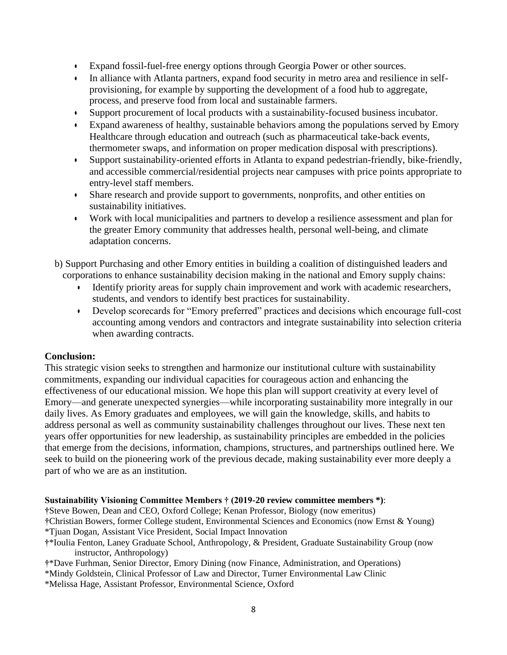- Expand fossil-fuel-free energy options through Georgia Power or other sources.
- In alliance with Atlanta partners, expand food security in metro area and resilience in selfprovisioning, for example by supporting the development of a food hub to aggregate, process, and preserve food from local and sustainable farmers.
- Support procurement of local products with a sustainability-focused business incubator.
- Expand awareness of healthy, sustainable behaviors among the populations served by Emory Healthcare through education and outreach (such as pharmaceutical take-back events, thermometer swaps, and information on proper medication disposal with prescriptions).
- Support sustainability-oriented efforts in Atlanta to expand pedestrian-friendly, bike-friendly, and accessible commercial/residential projects near campuses with price points appropriate to entry-level staff members.
- Share research and provide support to governments, nonprofits, and other entities on sustainability initiatives.
- Work with local municipalities and partners to develop a resilience assessment and plan for the greater Emory community that addresses health, personal well-being, and climate adaptation concerns.
- b) Support Purchasing and other Emory entities in building a coalition of distinguished leaders and corporations to enhance sustainability decision making in the national and Emory supply chains:
	- Identify priority areas for supply chain improvement and work with academic researchers, students, and vendors to identify best practices for sustainability.
	- Develop scorecards for "Emory preferred" practices and decisions which encourage full-cost accounting among vendors and contractors and integrate sustainability into selection criteria when awarding contracts.

### **Conclusion:**

This strategic vision seeks to strengthen and harmonize our institutional culture with sustainability commitments, expanding our individual capacities for courageous action and enhancing the effectiveness of our educational mission. We hope this plan will support creativity at every level of Emory—and generate unexpected synergies—while incorporating sustainability more integrally in our daily lives. As Emory graduates and employees, we will gain the knowledge, skills, and habits to address personal as well as community sustainability challenges throughout our lives. These next ten years offer opportunities for new leadership, as sustainability principles are embedded in the policies that emerge from the decisions, information, champions, structures, and partnerships outlined here. We seek to build on the pioneering work of the previous decade, making sustainability ever more deeply a part of who we are as an institution.

#### **Sustainability Visioning Committee Members † (2019-20 review committee members \*)**:

**†**Steve Bowen, Dean and CEO, Oxford College; Kenan Professor, Biology (now emeritus) **†**Christian Bowers, former College student, Environmental Sciences and Economics (now Ernst & Young) \*Tjuan Dogan, Assistant Vice President, Social Impact Innovation

- **†**\*Ioulia Fenton, Laney Graduate School, Anthropology, & President, Graduate Sustainability Group (now instructor, Anthropology)
- **†**\*Dave Furhman, Senior Director, Emory Dining (now Finance, Administration, and Operations)
- \*Mindy Goldstein, Clinical Professor of Law and Director, Turner Environmental Law Clinic
- \*Melissa Hage, Assistant Professor, Environmental Science, Oxford